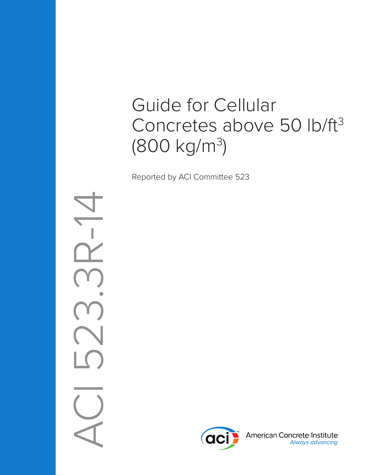# Guide for Cellular Concretes above 50 lb/ft<sup>3</sup> (800 kg/m3 )

Reported by ACI Committee 523

ACI 523.3R-14 $\overline{\phantom{a}}$ へ



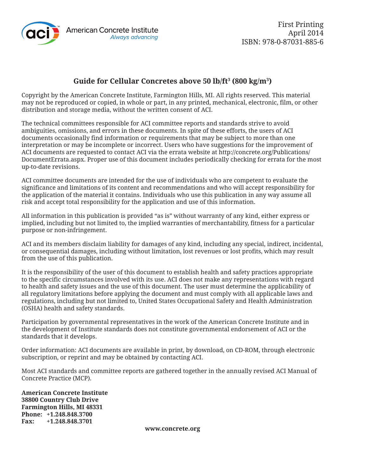

# **Guide for Cellular Concretes above 50 lb/ft3 (800 kg/m3 )**

Copyright by the American Concrete Institute, Farmington Hills, MI. All rights reserved. This material may not be reproduced or copied, in whole or part, in any printed, mechanical, electronic, film, or other distribution and storage media, without the written consent of ACI.

The technical committees responsible for ACI committee reports and standards strive to avoid ambiguities, omissions, and errors in these documents. In spite of these efforts, the users of ACI documents occasionally find information or requirements that may be subject to more than one interpretation or may be incomplete or incorrect. Users who have suggestions for the improvement of ACI documents are requested to contact ACI via the errata website at http://concrete.org/Publications/ DocumentErrata.aspx. Proper use of this document includes periodically checking for errata for the most up-to-date revisions.

ACI committee documents are intended for the use of individuals who are competent to evaluate the significance and limitations of its content and recommendations and who will accept responsibility for the application of the material it contains. Individuals who use this publication in any way assume all risk and accept total responsibility for the application and use of this information.

All information in this publication is provided "as is" without warranty of any kind, either express or implied, including but not limited to, the implied warranties of merchantability, fitness for a particular purpose or non-infringement.

ACI and its members disclaim liability for damages of any kind, including any special, indirect, incidental, or consequential damages, including without limitation, lost revenues or lost profits, which may result from the use of this publication.

It is the responsibility of the user of this document to establish health and safety practices appropriate to the specific circumstances involved with its use. ACI does not make any representations with regard to health and safety issues and the use of this document. The user must determine the applicability of all regulatory limitations before applying the document and must comply with all applicable laws and regulations, including but not limited to, United States Occupational Safety and Health Administration (OSHA) health and safety standards.

Participation by governmental representatives in the work of the American Concrete Institute and in the development of Institute standards does not constitute governmental endorsement of ACI or the standards that it develops.

Order information: ACI documents are available in print, by download, on CD-ROM, through electronic subscription, or reprint and may be obtained by contacting ACI.

Most ACI standards and committee reports are gathered together in the annually revised ACI Manual of Concrete Practice (MCP).

**American Concrete Institute 38800 Country Club Drive Farmington Hills, MI 48331 Phone: +1.248.848.3700 Fax: +1.248.848.3701**

**www.concrete.org**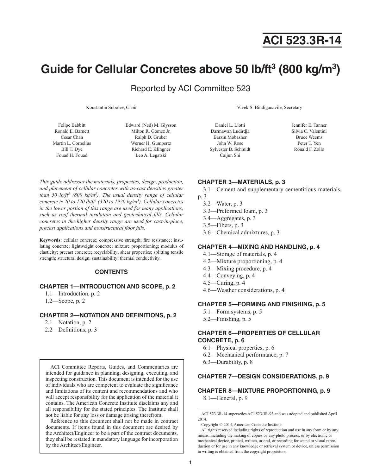# **ACI 523.3R-14**

# Guide for Cellular Concretes above 50 lb/ft<sup>3</sup> (800 kg/m<sup>3</sup>)

Reported by ACI Committee 523

Felipe Babbitt Ronald E. Barnett Cesar Chan Martin L. Cornelius Bill T. Dye Fouad H. Fouad

Edward (Ned) M. Glysson Milton R. Gomez Jr. Ralph D. Gruber Werner H. Gumpertz Richard E. Klingner Leo A. Legatski

*This guide addresses the materials, properties, design, production, and placement of cellular concretes with as-cast densities greater than 50 lb/ft3 (800 kg/m3 ). The usual density range of cellular concrete is 20 to 120 lb/ft3 (320 to 1920 kg/m3 ). Cellular concretes in the lower portion of this range are used for many applications, such as roof thermal insulation and geotechnical fills. Cellular concretes in the higher density range are used for cast-in-place, precast applications and nonstructural floor fills.*

**Keywords:** cellular concrete; compressive strength; fire resistance; insulating concrete; lightweight concrete; mixture proportioning; modulus of elasticity; precast concrete; recyclability; shear properties; splitting tensile strength; structural design; sustainability; thermal conductivity.

# **CONTENTS**

# **[CHAPTER 1—INTRODUCTION AND SCOPE, p. 2](#page-3-0)**

[1.1—Introduction, p. 2](#page-3-0)

[1.2—Scope, p. 2](#page-3-0)

# **[CHAPTER 2—NOTATION AND DEFINITIONS, p. 2](#page-3-0)**

[2.1—Notation, p. 2](#page-3-0)

[2.2—Definitions, p. 3](#page--1-0)

ACI Committee Reports, Guides, and Commentaries are intended for guidance in planning, designing, executing, and inspecting construction. This document is intended for the use of individuals who are competent to evaluate the significance and limitations of its content and recommendations and who will accept responsibility for the application of the material it contains. The American Concrete Institute disclaims any and all responsibility for the stated principles. The Institute shall not be liable for any loss or damage arising therefrom.

Reference to this document shall not be made in contract documents. If items found in this document are desired by the Architect/Engineer to be a part of the contract documents, they shall be restated in mandatory language for incorporation by the Architect/Engineer.

Konstantin Sobolev, Chair Vivek S. Bindiganavile, Secretary

Daniel L. Liotti Darmawan Ludirdja Barzin Mobasher John W. Rose Sylvester B. Schmidt Caijun Shi

Jennifer E. Tanner Silvia C. Valentini Bruce Weems Peter T. Yen Ronald F. Zollo

# **[CHAPTER 3—MATERIALS, p. 3](#page--1-0)**

- [3.1—Cement and supplementary cementitious materials,](#page--1-0)
- [p. 3](#page--1-0)
	- [3.2—Water, p. 3](#page--1-0)
	- [3.3—Preformed foam, p. 3](#page--1-0)
	- [3.4—Aggregates, p. 3](#page--1-0)
	- [3.5—Fibers, p. 3](#page--1-0)
	- [3.6—Chemical admixtures, p. 3](#page--1-0)

### **[CHAPTER 4—MIXING AND HANDLING, p. 4](#page--1-0)**

- [4.1—Storage of materials, p. 4](#page--1-0)
- [4.2—Mixture proportioning, p. 4](#page--1-0)
- [4.3—Mixing procedure, p. 4](#page--1-0)
- [4.4—Conveying, p. 4](#page--1-0)
- [4.5—Curing, p. 4](#page--1-0)
- [4.6—Weather considerations, p. 4](#page--1-0)

# **[CHAPTER 5—FORMING AND FINISHING, p. 5](#page--1-0)**

- [5.1—Form systems, p. 5](#page--1-0)
- [5.2—Finishing, p. 5](#page--1-0)

# **[CHAPTER 6—PROPERTIES OF CELLULAR](#page--1-0)  [CONCRETE, p. 6](#page--1-0)**

- [6.1—Physical properties, p. 6](#page--1-0)
- [6.2—Mechanical performance, p. 7](#page--1-0)
- [6.3—Durability, p. 8](#page--1-0)

# **[CHAPTER 7—DESIGN CONSIDERATIONS, p. 9](#page--1-0)**

# **[CHAPTER 8—MIXTURE PROPORTIONING, p. 9](#page--1-0)** [8.1—General, p. 9](#page--1-0)

ACI 523.3R-14 supersedes ACI 523.3R-93 and was adopted and published April 2014.

Copyright © 2014, American Concrete Institute

All rights reserved including rights of reproduction and use in any form or by any means, including the making of copies by any photo process, or by electronic or mechanical device, printed, written, or oral, or recording for sound or visual reproduction or for use in any knowledge or retrieval system or device, unless permission in writing is obtained from the copyright proprietors.